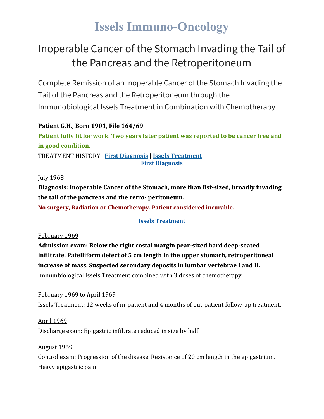# **Issels Immuno-Oncology**

## Inoperable Cancer of the Stomach Invading the Tail of the Pancreas and the Retroperitoneum

Complete Remission of an Inoperable Cancer of the Stomach Invading the Tail of the Pancreas and the Retroperitoneum through the Immunobiological Issels Treatment in Combination with Chemotherapy

#### **Patient G.H., Born 1901, File 164/69**

**Patient fully fit for work. Two years later patient was reported to be cancer free and in good condition.**

TREATMENT HISTORY **First [Diagnosis](https://issels.com/cancer-cases/stomach-2-inoperable-stomach-cancer-invading-pancreas-and-retroperitoneum/#First)** | **Issels [Treatment](https://issels.com/cancer-cases/stomach-2-inoperable-stomach-cancer-invading-pancreas-and-retroperitoneum/#Issels) First Diagnosis**

#### **July 1968**

**Diagnosis: Inoperable Cancer of the Stomach, more than fist-sized, broadly invading the tail of the pancreas and the retro- peritoneum.**

**No surgery, Radiation or Chemotherapy. Patient considered incurable.**

#### **Issels Treatment**

#### February 1969

**Admission exam: Below the right costal margin pear-sized hard deep-seated infiltrate. Patelliform defect of 5 cm length in the upper stomach, retroperitoneal increase of mass. Suspected secondary deposits in lumbar vertebrae I and II.** Immunbiological Issels Treatment combined with 3 doses of chemotherapy.

#### February 1969 to April 1969

Issels Treatment: 12 weeks of in-patient and 4 months of out-patient follow-up treatment.

#### April 1969

Discharge exam: Epigastric infiltrate reduced in size by half.

#### August 1969

Control exam: Progression of the disease. Resistance of 20 cm length in the epigastrium. Heavy epigastric pain.